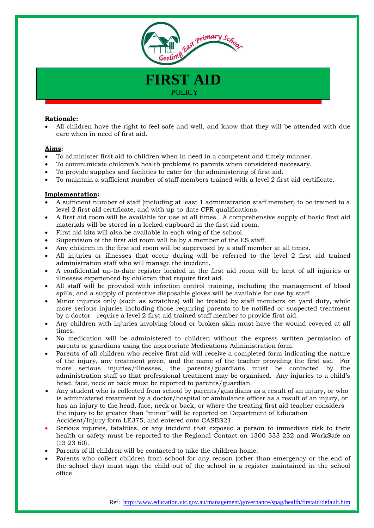

**FIRST AID POLICY** 

## **Rationale:**

 All children have the right to feel safe and well, and know that they will be attended with due care when in need of first aid.

## **Aims:**

- To administer first aid to children when in need in a competent and timely manner.
- To communicate children's health problems to parents when considered necessary.
- To provide supplies and facilities to cater for the administering of first aid.
- To maintain a sufficient number of staff members trained with a level 2 first aid certificate.

## **Implementation:**

- A sufficient number of staff (including at least 1 administration staff member) to be trained to a level 2 first aid certificate, and with up-to-date CPR qualifications.
- A first aid room will be available for use at all times. A comprehensive supply of basic first aid materials will be stored in a locked cupboard in the first aid room.
- First aid kits will also be available in each wing of the school.
- Supervision of the first aid room will be by a member of the ES staff.
- Any children in the first aid room will be supervised by a staff member at all times.
- All injuries or illnesses that occur during will be referred to the level 2 first aid trained administration staff who will manage the incident.
- A confidential up-to-date register located in the first aid room will be kept of all injuries or illnesses experienced by children that require first aid.
- All staff will be provided with infection control training, including the management of blood spills, and a supply of protective disposable gloves will be available for use by staff.
- Minor injuries only (such as scratches) will be treated by staff members on yard duty, while more serious injuries-including those requiring parents to be notified or suspected treatment by a doctor - require a level 2 first aid trained staff member to provide first aid.
- Any children with injuries involving blood or broken skin must have the wound covered at all times.
- No medication will be administered to children without the express written permission of parents or guardians using the appropriate Medications Administration form.
- Parents of all children who receive first aid will receive a completed form indicating the nature of the injury, any treatment given, and the name of the teacher providing the first aid. For more serious injuries/illnesses, the parents/guardians must be contacted by the administration staff so that professional treatment may be organised. Any injuries to a child's head, face, neck or back must be reported to parents/guardian.
- Any student who is collected from school by parents/guardians as a result of an injury, or who is administered treatment by a doctor/hospital or ambulance officer as a result of an injury, or has an injury to the head, face, neck or back, or where the treating first aid teacher considers the injury to be greater than "minor" will be reported on Department of Education Accident/Injury form LE375, and entered onto CASES21.
- Serious injuries, fatalities, or any incident that exposed a person to immediate risk to their health or safety must be reported to the Regional Contact on 1300 333 232 and WorkSafe on (13 23 60).
- Parents of ill children will be contacted to take the children home.
- Parents who collect children from school for any reason (other than emergency or the end of the school day) must sign the child out of the school in a register maintained in the school office.